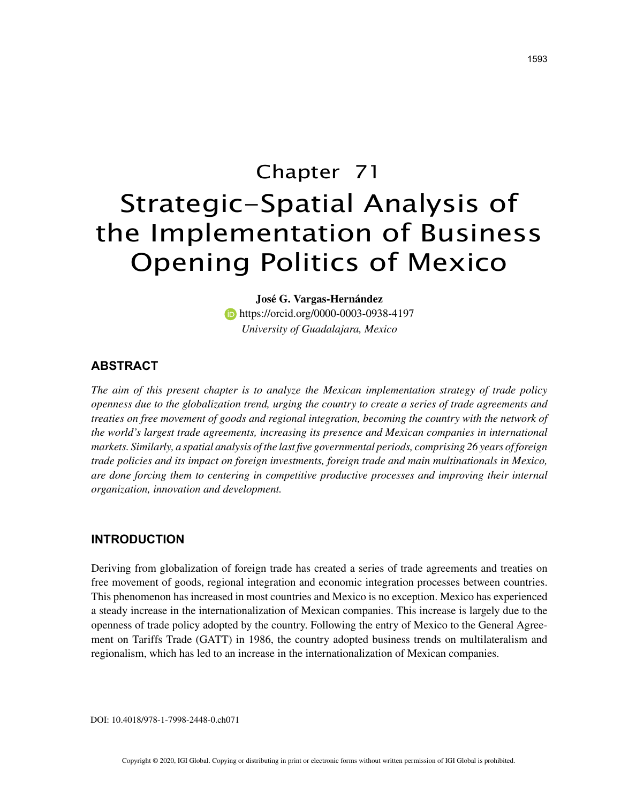# Chapter 71 Strategic-Spatial Analysis of the Implementation of Business Opening Politics of Mexico

**José G. Vargas-Hernández** https://orcid.org/0000-0003-0938-4197 *University of Guadalajara, Mexico*

## **ABSTRACT**

*The aim of this present chapter is to analyze the Mexican implementation strategy of trade policy openness due to the globalization trend, urging the country to create a series of trade agreements and treaties on free movement of goods and regional integration, becoming the country with the network of the world's largest trade agreements, increasing its presence and Mexican companies in international markets. Similarly, a spatial analysis of the last five governmental periods, comprising 26 years of foreign trade policies and its impact on foreign investments, foreign trade and main multinationals in Mexico, are done forcing them to centering in competitive productive processes and improving their internal organization, innovation and development.*

## **INTRODUCTION**

Deriving from globalization of foreign trade has created a series of trade agreements and treaties on free movement of goods, regional integration and economic integration processes between countries. This phenomenon has increased in most countries and Mexico is no exception. Mexico has experienced a steady increase in the internationalization of Mexican companies. This increase is largely due to the openness of trade policy adopted by the country. Following the entry of Mexico to the General Agreement on Tariffs Trade (GATT) in 1986, the country adopted business trends on multilateralism and regionalism, which has led to an increase in the internationalization of Mexican companies.

DOI: 10.4018/978-1-7998-2448-0.ch071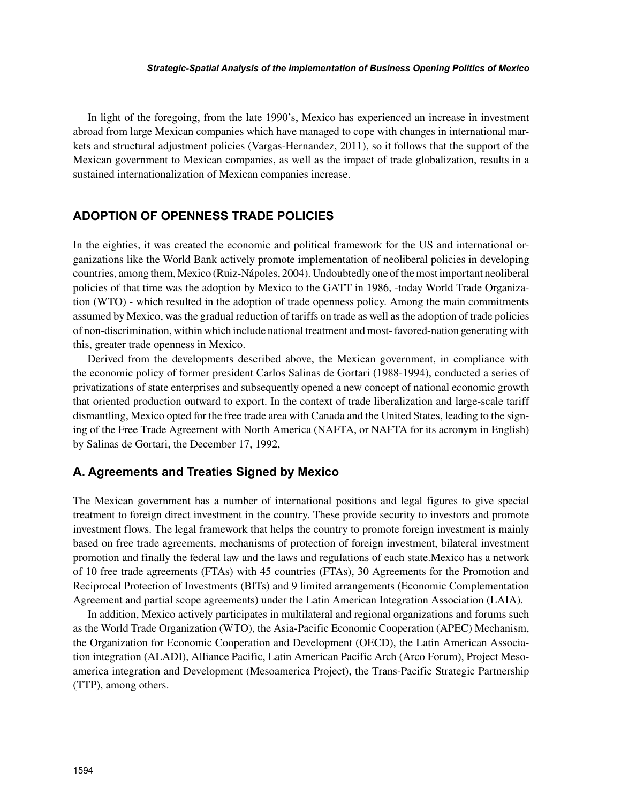#### *Strategic-Spatial Analysis of the Implementation of Business Opening Politics of Mexico*

In light of the foregoing, from the late 1990's, Mexico has experienced an increase in investment abroad from large Mexican companies which have managed to cope with changes in international markets and structural adjustment policies (Vargas-Hernandez, 2011), so it follows that the support of the Mexican government to Mexican companies, as well as the impact of trade globalization, results in a sustained internationalization of Mexican companies increase.

## **ADOPTION OF OPENNESS TRADE POLICIES**

In the eighties, it was created the economic and political framework for the US and international organizations like the World Bank actively promote implementation of neoliberal policies in developing countries, among them, Mexico (Ruiz-Nápoles, 2004). Undoubtedly one of the most important neoliberal policies of that time was the adoption by Mexico to the GATT in 1986, -today World Trade Organization (WTO) - which resulted in the adoption of trade openness policy. Among the main commitments assumed by Mexico, was the gradual reduction of tariffs on trade as well as the adoption of trade policies of non-discrimination, within which include national treatment and most- favored-nation generating with this, greater trade openness in Mexico.

Derived from the developments described above, the Mexican government, in compliance with the economic policy of former president Carlos Salinas de Gortari (1988-1994), conducted a series of privatizations of state enterprises and subsequently opened a new concept of national economic growth that oriented production outward to export. In the context of trade liberalization and large-scale tariff dismantling, Mexico opted for the free trade area with Canada and the United States, leading to the signing of the Free Trade Agreement with North America (NAFTA, or NAFTA for its acronym in English) by Salinas de Gortari, the December 17, 1992,

### **A. Agreements and Treaties Signed by Mexico**

The Mexican government has a number of international positions and legal figures to give special treatment to foreign direct investment in the country. These provide security to investors and promote investment flows. The legal framework that helps the country to promote foreign investment is mainly based on free trade agreements, mechanisms of protection of foreign investment, bilateral investment promotion and finally the federal law and the laws and regulations of each state.Mexico has a network of 10 free trade agreements (FTAs) with 45 countries (FTAs), 30 Agreements for the Promotion and Reciprocal Protection of Investments (BITs) and 9 limited arrangements (Economic Complementation Agreement and partial scope agreements) under the Latin American Integration Association (LAIA).

In addition, Mexico actively participates in multilateral and regional organizations and forums such as the World Trade Organization (WTO), the Asia-Pacific Economic Cooperation (APEC) Mechanism, the Organization for Economic Cooperation and Development (OECD), the Latin American Association integration (ALADI), Alliance Pacific, Latin American Pacific Arch (Arco Forum), Project Mesoamerica integration and Development (Mesoamerica Project), the Trans-Pacific Strategic Partnership (TTP), among others.